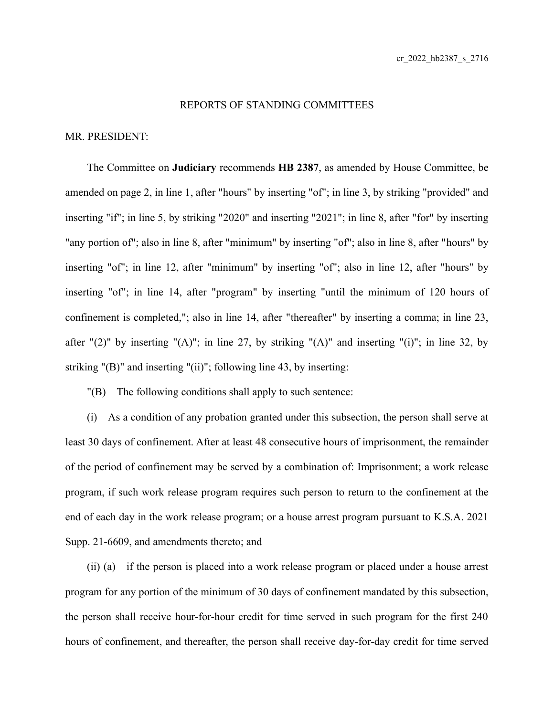## REPORTS OF STANDING COMMITTEES

## MR. PRESIDENT:

The Committee on **Judiciary** recommends **HB 2387**, as amended by House Committee, be amended on page 2, in line 1, after "hours" by inserting "of"; in line 3, by striking "provided" and inserting "if"; in line 5, by striking "2020" and inserting "2021"; in line 8, after "for" by inserting "any portion of"; also in line 8, after "minimum" by inserting "of"; also in line 8, after "hours" by inserting "of"; in line 12, after "minimum" by inserting "of"; also in line 12, after "hours" by inserting "of"; in line 14, after "program" by inserting "until the minimum of 120 hours of confinement is completed,"; also in line 14, after "thereafter" by inserting a comma; in line 23, after "(2)" by inserting "(A)"; in line 27, by striking "(A)" and inserting "(i)"; in line 32, by striking "(B)" and inserting "(ii)"; following line 43, by inserting:

"(B) The following conditions shall apply to such sentence:

(i) As a condition of any probation granted under this subsection, the person shall serve at least 30 days of confinement. After at least 48 consecutive hours of imprisonment, the remainder of the period of confinement may be served by a combination of: Imprisonment; a work release program, if such work release program requires such person to return to the confinement at the end of each day in the work release program; or a house arrest program pursuant to K.S.A. 2021 Supp. 21-6609, and amendments thereto; and

(ii) (a) if the person is placed into a work release program or placed under a house arrest program for any portion of the minimum of 30 days of confinement mandated by this subsection, the person shall receive hour-for-hour credit for time served in such program for the first 240 hours of confinement, and thereafter, the person shall receive day-for-day credit for time served